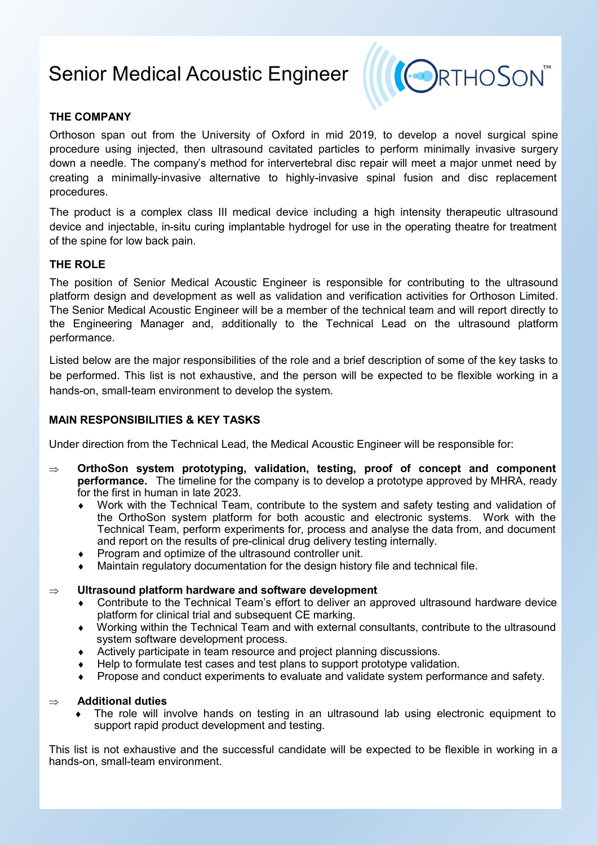# Senior Medical Acoustic Engineer



# **THE COMPANY**

Orthoson span out from the University of Oxford in mid 2019, to develop a novel surgical spine procedure using injected, then ultrasound cavitated particles to perform minimally invasive surgery down a needle. The company's method for intervertebral disc repair will meet a major unmet need by creating a minimally-invasive alternative to highly-invasive spinal fusion and disc replacement procedures.

The product is a complex class III medical device including a high intensity therapeutic ultrasound device and injectable, in-situ curing implantable hydrogel for use in the operating theatre for treatment of the spine for low back pain.

# **THE ROLE**

The position of Senior Medical Acoustic Engineer is responsible for contributing to the ultrasound platform design and development as well as validation and verification activities for Orthoson Limited. The Senior Medical Acoustic Engineer will be a member of the technical team and will report directly to the Engineering Manager and, additionally to the Technical Lead on the ultrasound platform performance.

Listed below are the major responsibilities of the role and a brief description of some of the key tasks to be performed. This list is not exhaustive, and the person will be expected to be flexible working in a hands-on, small-team environment to develop the system.

## **MAIN RESPONSIBILITIES & KEY TASKS**

Under direction from the Technical Lead, the Medical Acoustic Engineer will be responsible for:

- **OrthoSon system prototyping, validation, testing, proof of concept and component performance.** The timeline for the company is to develop a prototype approved by MHRA, ready for the first in human in late 2023.
	- Work with the Technical Team, contribute to the system and safety testing and validation of the OrthoSon system platform for both acoustic and electronic systems. Work with the Technical Team, perform experiments for, process and analyse the data from, and document and report on the results of pre-clinical drug delivery testing internally.
	- Program and optimize of the ultrasound controller unit.
	- Maintain regulatory documentation for the design history file and technical file.

#### **Ultrasound platform hardware and software development**

- Contribute to the Technical Team's effort to deliver an approved ultrasound hardware device platform for clinical trial and subsequent CE marking.
- Working within the Technical Team and with external consultants, contribute to the ultrasound system software development process.
- Actively participate in team resource and project planning discussions.
- Help to formulate test cases and test plans to support prototype validation.
- Propose and conduct experiments to evaluate and validate system performance and safety.

#### **Additional duties**

 The role will involve hands on testing in an ultrasound lab using electronic equipment to support rapid product development and testing.

This list is not exhaustive and the successful candidate will be expected to be flexible in working in a hands-on, small-team environment.